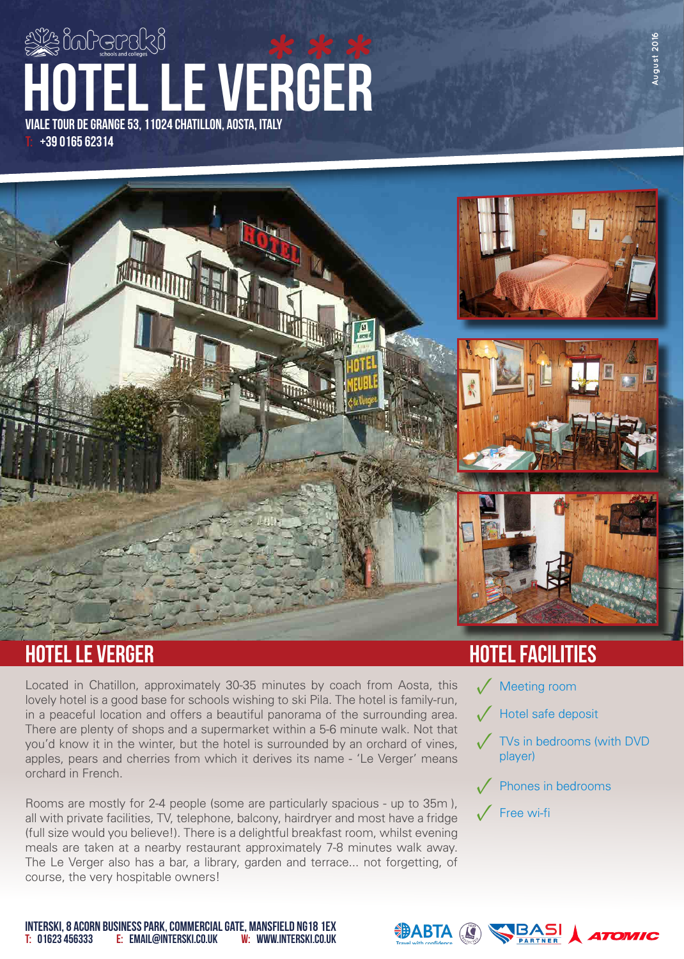# T: +39 0165 62314 viale tour de grange 53, 11024 chatillon, aosta, italy hotel le verger **\*\*\***



## hotel le verger hotel facilities

Located in Chatillon, approximately 30-35 minutes by coach from Aosta, this lovely hotel is a good base for schools wishing to ski Pila. The hotel is family-run, in a peaceful location and offers a beautiful panorama of the surrounding area. There are plenty of shops and a supermarket within a 5-6 minute walk. Not that you'd know it in the winter, but the hotel is surrounded by an orchard of vines, apples, pears and cherries from which it derives its name - 'Le Verger' means orchard in French.

Rooms are mostly for 2-4 people (some are particularly spacious - up to 35m), all with private facilities, TV, telephone, balcony, hairdryer and most have a fridge (full size would you believe!). There is a delightful breakfast room, whilst evening meals are taken at a nearby restaurant approximately 7-8 minutes walk away. The Le Verger also has a bar, a library, garden and terrace... not forgetting, of course, the very hospitable owners!

- **Meeting room**
- √ Hotel safe deposit
- **✓** TVs in bedrooms (with DVD **blayer**<br> *I* 1st facility here player)
- **✓** Phones in bedrooms
- **✓** Free wi-fi